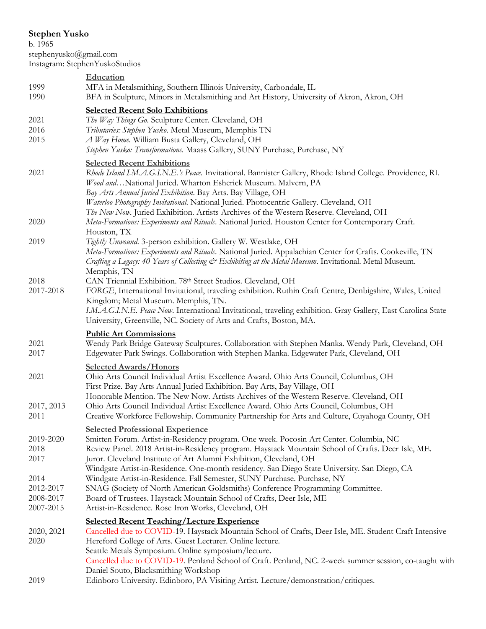## **Stephen Yusko**

b. 1965 stephenyusko@gmail.com Instagram: StephenYuskoStudios

|                                                                     | Instagram: Stephen YuskoStudios                                                                                                                                                                                                                                                                                                                                                                                                                                                                                                                                                                                                                                                                                                                      |
|---------------------------------------------------------------------|------------------------------------------------------------------------------------------------------------------------------------------------------------------------------------------------------------------------------------------------------------------------------------------------------------------------------------------------------------------------------------------------------------------------------------------------------------------------------------------------------------------------------------------------------------------------------------------------------------------------------------------------------------------------------------------------------------------------------------------------------|
| 1999<br>1990                                                        | Education<br>MFA in Metalsmithing, Southern Illinois University, Carbondale, IL<br>BFA in Sculpture, Minors in Metalsmithing and Art History, University of Akron, Akron, OH                                                                                                                                                                                                                                                                                                                                                                                                                                                                                                                                                                         |
| 2021<br>2016<br>2015                                                | <b>Selected Recent Solo Exhibitions</b><br>The Way Things Go. Sculpture Center. Cleveland, OH<br>Tributaries: Stephen Yusko. Metal Museum, Memphis TN<br>A Way Home. William Busta Gallery, Cleveland, OH<br>Stephen Yusko: Transformations. Maass Gallery, SUNY Purchase, Purchase, NY                                                                                                                                                                                                                                                                                                                                                                                                                                                              |
| 2021                                                                | <b>Selected Recent Exhibitions</b><br>Rhode Island I.M.A.G.I.N.E.'s Peace. Invitational. Bannister Gallery, Rhode Island College. Providence, RI.<br>Wood andNational Juried. Wharton Esherick Museum. Malvern, PA<br>Bay Arts Annual Juried Exhibition. Bay Arts. Bay Village, OH<br>Waterloo Photography Invitational. National Juried. Photocentric Gallery. Cleveland, OH                                                                                                                                                                                                                                                                                                                                                                        |
| 2020                                                                | The New Now. Juried Exhibition. Artists Archives of the Western Reserve. Cleveland, OH<br>Meta-Formations: Experiments and Rituals. National Juried. Houston Center for Contemporary Craft.<br>Houston, TX                                                                                                                                                                                                                                                                                                                                                                                                                                                                                                                                           |
| 2019                                                                | Tightly Unwound. 3-person exhibition. Gallery W. Westlake, OH<br>Meta-Formations: Experiments and Rituals. National Juried. Appalachian Center for Crafts. Cookeville, TN<br>Crafting a Legacy: 40 Years of Collecting & Exhibiting at the Metal Museum. Invitational. Metal Museum.<br>Memphis, TN                                                                                                                                                                                                                                                                                                                                                                                                                                                  |
| 2018<br>2017-2018                                                   | CAN Triennial Exhibition. 78th Street Studios. Cleveland, OH<br>FORGE, International Invitational, traveling exhibition. Ruthin Craft Centre, Denbigshire, Wales, United<br>Kingdom; Metal Museum. Memphis, TN.<br>I.M.A.G.I.N.E. Peace Now. International Invitational, traveling exhibition. Gray Gallery, East Carolina State<br>University, Greenville, NC. Society of Arts and Crafts, Boston, MA.                                                                                                                                                                                                                                                                                                                                              |
| 2021<br>2017                                                        | <b>Public Art Commissions</b><br>Wendy Park Bridge Gateway Sculptures. Collaboration with Stephen Manka. Wendy Park, Cleveland, OH<br>Edgewater Park Swings. Collaboration with Stephen Manka. Edgewater Park, Cleveland, OH                                                                                                                                                                                                                                                                                                                                                                                                                                                                                                                         |
| 2021<br>2017, 2013                                                  | <b>Selected Awards/Honors</b><br>Ohio Arts Council Individual Artist Excellence Award. Ohio Arts Council, Columbus, OH<br>First Prize. Bay Arts Annual Juried Exhibition. Bay Arts, Bay Village, OH<br>Honorable Mention. The New Now. Artists Archives of the Western Reserve. Cleveland, OH<br>Ohio Arts Council Individual Artist Excellence Award. Ohio Arts Council, Columbus, OH                                                                                                                                                                                                                                                                                                                                                               |
| 2011<br>2019-2020<br>2018<br>2017<br>2014<br>2012-2017<br>2008-2017 | Creative Workforce Fellowship. Community Partnership for Arts and Culture, Cuyahoga County, OH<br><b>Selected Professional Experience</b><br>Smitten Forum. Artist-in-Residency program. One week. Pocosin Art Center. Columbia, NC<br>Review Panel. 2018 Artist-in-Residency program. Haystack Mountain School of Crafts. Deer Isle, ME.<br>Juror. Cleveland Institute of Art Alumni Exhibition, Cleveland, OH<br>Windgate Artist-in-Residence. One-month residency. San Diego State University. San Diego, CA<br>Windgate Artist-in-Residence. Fall Semester, SUNY Purchase. Purchase, NY<br>SNAG (Society of North American Goldsmiths) Conference Programming Committee.<br>Board of Trustees. Haystack Mountain School of Crafts, Deer Isle, ME |
| 2007-2015<br>2020, 2021<br>2020                                     | Artist-in-Residence. Rose Iron Works, Cleveland, OH<br><b>Selected Recent Teaching/Lecture Experience</b><br>Cancelled due to COVID-19. Haystack Mountain School of Crafts, Deer Isle, ME. Student Craft Intensive<br>Hereford College of Arts. Guest Lecturer. Online lecture.<br>Seattle Metals Symposium. Online symposium/lecture.<br>Cancelled due to COVID-19. Penland School of Craft. Penland, NC. 2-week summer session, co-taught with<br>Daniel Souto, Blacksmithing Workshop                                                                                                                                                                                                                                                             |

2019 Edinboro University. Edinboro, PA Visiting Artist. Lecture/demonstration/critiques.